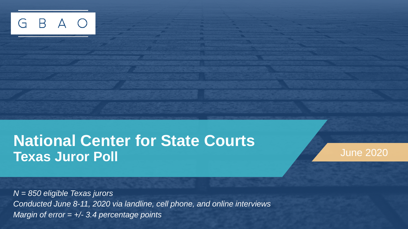

### **National Center for State Courts Texas Juror Poll June 2020**

*N = 850 eligible Texas jurors Conducted June 8-11, 2020 via landline, cell phone, and online interviews Margin of error = +/- 3.4 percentage points*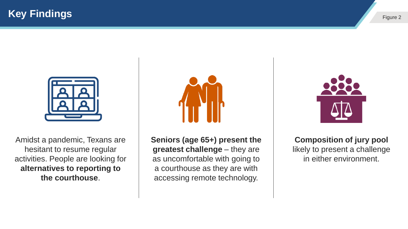



Amidst a pandemic, Texans are hesitant to resume regular activities. People are looking for **alternatives to reporting to the courthouse**.



**Seniors (age 65+) present the greatest challenge** – they are as uncomfortable with going to a courthouse as they are with accessing remote technology.



**Composition of jury pool**  likely to present a challenge in either environment.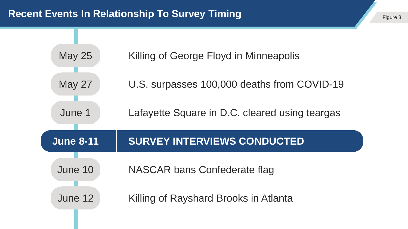#### **Recent Events In Relationship To Survey Timing The Contract of the Contract of The Contract 3 And The Figure 3**

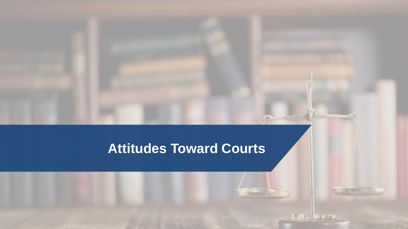### **Attitudes Toward Courts**

 $-2.35 - 8.003$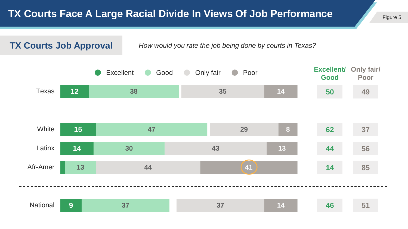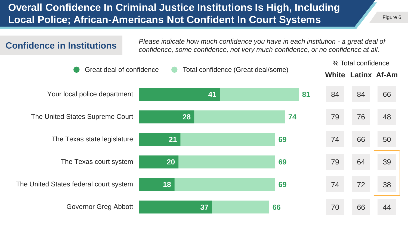#### **Overall Confidence In Criminal Justice Institutions Is High, Including Local Police; African-Americans Not Confident In Court Systems**

*Please indicate how much confidence you have in each institution - a great deal of* **Confidence in Institutions** *confidence, some confidence, not very much confidence, or no confidence at all.*

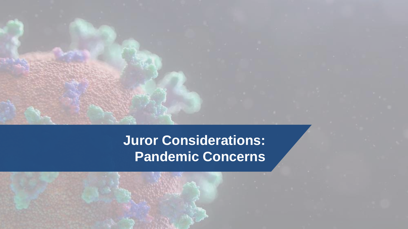**Juror Considerations: Pandemic Concerns**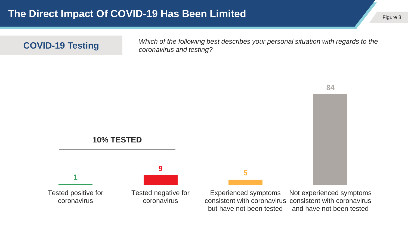**COVID-19 Testing** *Which of the following best describes your personal situation with regards to the coronavirus and testing?* 



coronavirus

coronavirus

consistent with coronavirus consistent with coronavirus but have not been tested Not experienced symptoms and have not been tested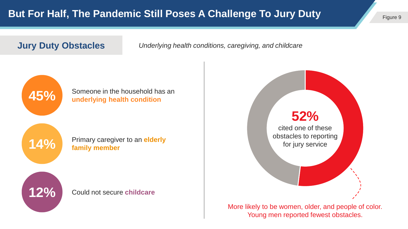**Jury Duty Obstacles** *Underlying health conditions, caregiving, and childcare*



**45%** Someone in the household has an underlying health condition



14% Primary caregiver to an elderly **14% family member family member**



12% Could not secure **childcare** 



More likely to be women, older, and people of color. Young men reported fewest obstacles.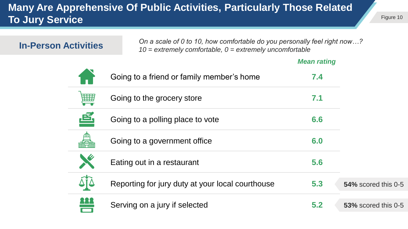#### **Many Are Apprehensive Of Public Activities, Particularly Those Related To Jury Service**

| <b>In-Person Activities</b> |  | On a scale of 0 to 10, how comfortable do you personally feel right now?<br>$10$ = extremely comfortable, $0$ = extremely uncomfortable |                    |                     |  |  |
|-----------------------------|--|-----------------------------------------------------------------------------------------------------------------------------------------|--------------------|---------------------|--|--|
|                             |  |                                                                                                                                         | <b>Mean rating</b> |                     |  |  |
|                             |  | Going to a friend or family member's home                                                                                               | 7.4                |                     |  |  |
| 囲                           |  | Going to the grocery store                                                                                                              | 7.1                |                     |  |  |
|                             |  | Going to a polling place to vote                                                                                                        | 6.6                |                     |  |  |
|                             |  | Going to a government office                                                                                                            | 6.0                |                     |  |  |
|                             |  | Eating out in a restaurant                                                                                                              | 5.6                |                     |  |  |
|                             |  | Reporting for jury duty at your local courthouse                                                                                        | 5.3                | 54% scored this 0-5 |  |  |
|                             |  | Serving on a jury if selected                                                                                                           | 5.2                | 53% scored this 0-5 |  |  |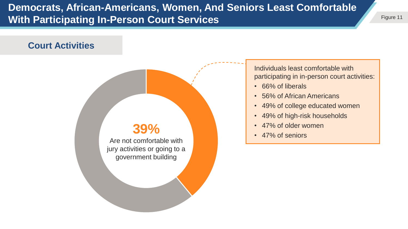#### **Democrats, African-Americans, Women, And Seniors Least Comfortable With Participating In-Person Court Services**

#### **Court Activities**

### **39%**

Are not comfortable with jury activities or going to a government building

Individuals least comfortable with participating in in-person court activities:

- 66% of liberals
- 56% of African Americans
- 49% of college educated women
- 49% of high-risk households
- 47% of older women
- 47% of seniors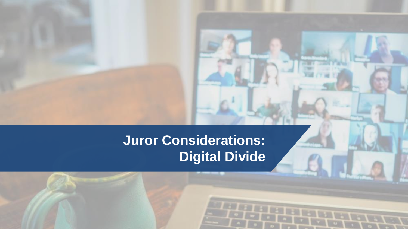**Juror Considerations: Digital Divide**

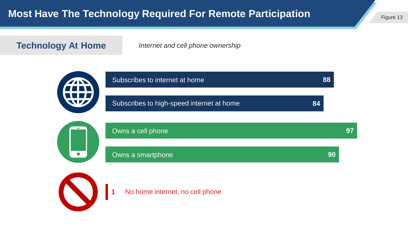**Technology At Home** *Internet and cell phone ownership*



**1** No home internet, no cell phone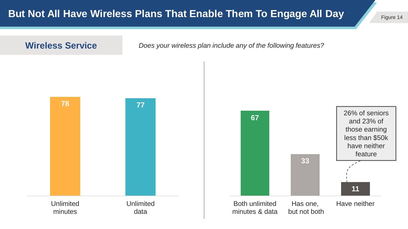

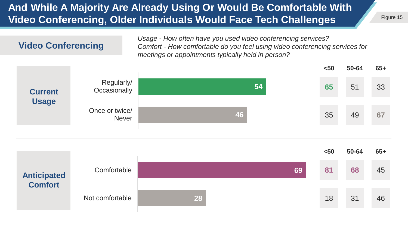#### **And While A Majority Are Already Using Or Would Be Comfortable With Video Conferencing, Older Individuals Would Face Tech Challenges**



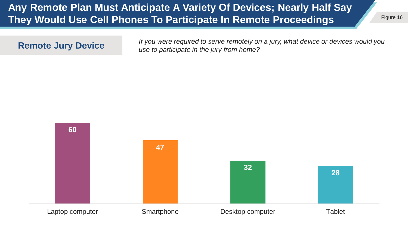#### **Any Remote Plan Must Anticipate A Variety Of Devices; Nearly Half Say They Would Use Cell Phones To Participate In Remote Proceedings**

**Remote Jury Device** *If you were required to serve remotely on a jury, what device or devices would you* use to participate in the jury from home?

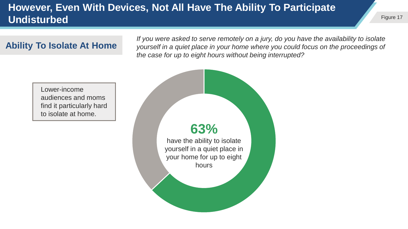#### **However, Even With Devices, Not All Have The Ability To Participate Undisturbed**

#### **Ability To Isolate At Home**

*If you were asked to serve remotely on a jury, do you have the availability to isolate yourself in a quiet place in your home where you could focus on the proceedings of the case for up to eight hours without being interrupted?*

Lower-income audiences and moms find it particularly hard to isolate at home.

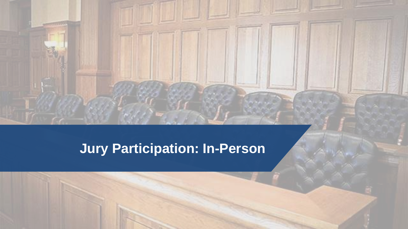### **Jury Participation: In-Person**

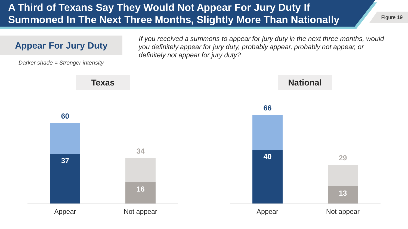#### **A Third of Texans Say They Would Not Appear For Jury Duty If Summoned In The Next Three Months, Slightly More Than Nationally**

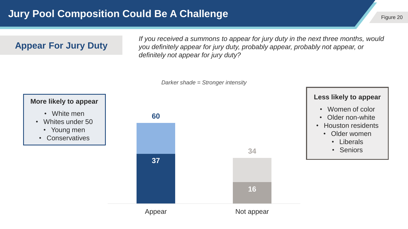#### **Jury Pool Composition Could Be A Challenge Figure 20 and The Could Be A Challenge** Figure 20

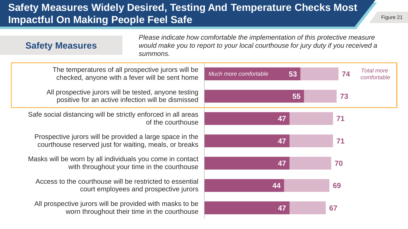#### **Safety Measures Widely Desired, Testing And Temperature Checks Most Impactful On Making People Feel Safe**

| <b>Safety Measures</b>                                                                                             | summons.                                    | Please indicate how comfortable the implementation of this protective measure<br>would make you to report to your local courthouse for jury duty if you received a |    |    |                                  |
|--------------------------------------------------------------------------------------------------------------------|---------------------------------------------|--------------------------------------------------------------------------------------------------------------------------------------------------------------------|----|----|----------------------------------|
| The temperatures of all prospective jurors will be<br>checked, anyone with a fever will be sent home               |                                             | Much more comfortable                                                                                                                                              | 53 | 74 | <b>Total more</b><br>comfortable |
| All prospective jurors will be tested, anyone testing<br>positive for an active infection will be dismissed        |                                             |                                                                                                                                                                    | 55 | 73 |                                  |
| Safe social distancing will be strictly enforced in all areas                                                      | of the courthouse                           |                                                                                                                                                                    | 47 | 71 |                                  |
| Prospective jurors will be provided a large space in the<br>courthouse reserved just for waiting, meals, or breaks |                                             |                                                                                                                                                                    | 47 | 71 |                                  |
| Masks will be worn by all individuals you come in contact                                                          | with throughout your time in the courthouse |                                                                                                                                                                    | 47 | 70 |                                  |
| Access to the courthouse will be restricted to essential                                                           | court employees and prospective jurors      |                                                                                                                                                                    | 44 | 69 |                                  |
| All prospective jurors will be provided with masks to be<br>worn throughout their time in the courthouse           |                                             |                                                                                                                                                                    | 47 | 67 |                                  |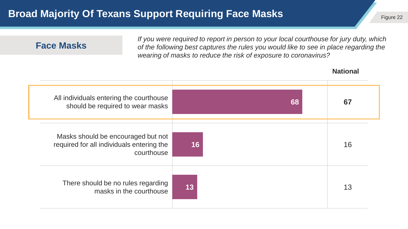#### **Broad Majority Of Texans Support Requiring Face Masks**

| <b>Face Masks</b>                                                               |                         |    | If you were required to report in person to your local courthouse for jury duty, which<br>of the following best captures the rules you would like to see in place regarding the<br>wearing of masks to reduce the risk of exposure to coronavirus? |                 |  |
|---------------------------------------------------------------------------------|-------------------------|----|----------------------------------------------------------------------------------------------------------------------------------------------------------------------------------------------------------------------------------------------------|-----------------|--|
|                                                                                 |                         |    |                                                                                                                                                                                                                                                    | <b>National</b> |  |
| All individuals entering the courthouse<br>should be required to wear masks     |                         |    | 68                                                                                                                                                                                                                                                 | 67              |  |
| Masks should be encouraged but not<br>required for all individuals entering the | courthouse              | 16 |                                                                                                                                                                                                                                                    | 16              |  |
| There should be no rules regarding                                              | masks in the courthouse | 13 |                                                                                                                                                                                                                                                    | 13              |  |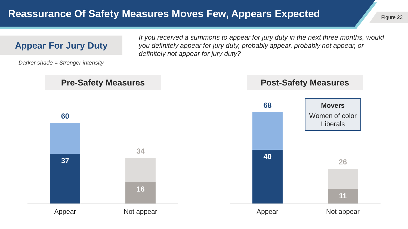#### **Reassurance Of Safety Measures Moves Few, Appears Expected**

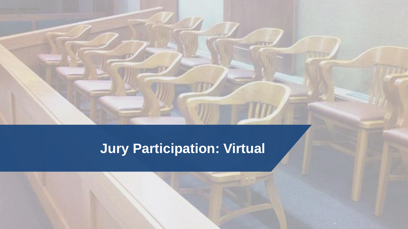### **Jury Participation: Virtual**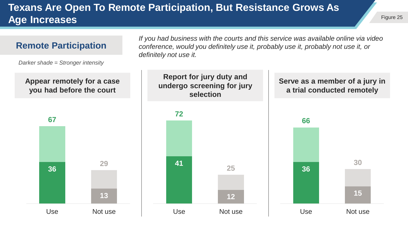#### **Texans Are Open To Remote Participation, But Resistance Grows As Age Increases**

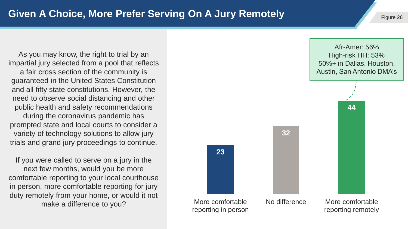As you may know, the right to trial by an impartial jury selected from a pool that reflects a fair cross section of the community is guaranteed in the United States Constitution and all fifty state constitutions. However, the need to observe social distancing and other public health and safety recommendations during the coronavirus pandemic has prompted state and local courts to consider a variety of technology solutions to allow jury trials and grand jury proceedings to continue.

If you were called to serve on a jury in the next few months, would you be more comfortable reporting to your local courthouse in person, more comfortable reporting for jury duty remotely from your home, or would it not make a difference to you?

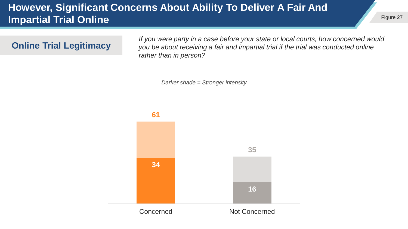#### **However, Significant Concerns About Ability To Deliver A Fair And Impartial Trial Online**

**Online Trial Legitimacy**

*If you were party in a case before your state or local courts, how concerned would you be about receiving a fair and impartial trial if the trial was conducted online rather than in person?*

*Darker shade = Stronger intensity*

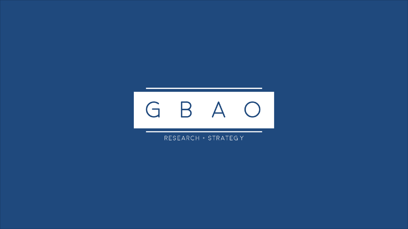

RESEARCH + STRATEGY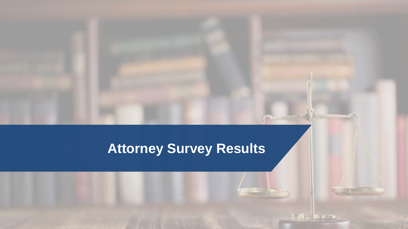## **Attorney Survey Results**

 $1.35 - 8.65$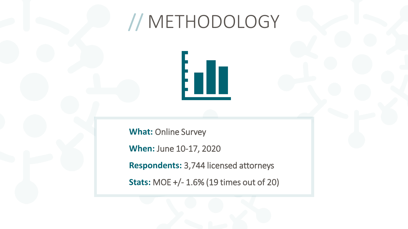# // METHODOLOGY



**What:** Online Survey

**When:** June 10-17, 2020

**Respondents:** 3,744 licensed attorneys

**Stats:** MOE +/- 1.6% (19 times out of 20)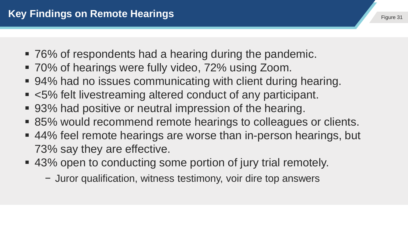- 76% of respondents had a hearing during the pandemic.
- 70% of hearings were fully video, 72% using Zoom.
- 94% had no issues communicating with client during hearing.
- <5% felt livestreaming altered conduct of any participant.
- 93% had positive or neutral impression of the hearing.
- 85% would recommend remote hearings to colleagues or clients.
- 44% feel remote hearings are worse than in-person hearings, but 73% say they are effective.
- 43% open to conducting some portion of jury trial remotely.
	- − Juror qualification, witness testimony, voir dire top answers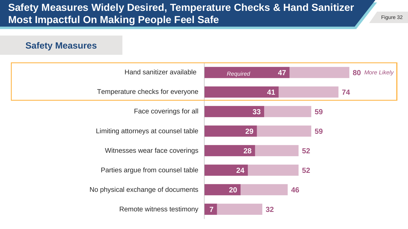#### **Safety Measures Widely Desired, Temperature Checks & Hand Sanitizer Most Impactful On Making People Feel Safe**

Figure 32

#### **Safety Measures**

| Hand sanitizer available            | Required       | 47 |    |    | <b>More Likely</b><br>80 |  |
|-------------------------------------|----------------|----|----|----|--------------------------|--|
| Temperature checks for everyone     |                | 41 |    |    | 74                       |  |
| Face coverings for all              | 33             |    |    | 59 |                          |  |
| Limiting attorneys at counsel table | 29             |    |    | 59 |                          |  |
| Witnesses wear face coverings       | 28             |    | 52 |    |                          |  |
| Parties argue from counsel table    | 24             |    | 52 |    |                          |  |
| No physical exchange of documents   | <b>20</b>      |    | 46 |    |                          |  |
| Remote witness testimony            | $\overline{7}$ | 32 |    |    |                          |  |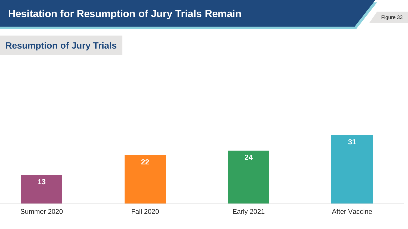**Resumption of Jury Trials**